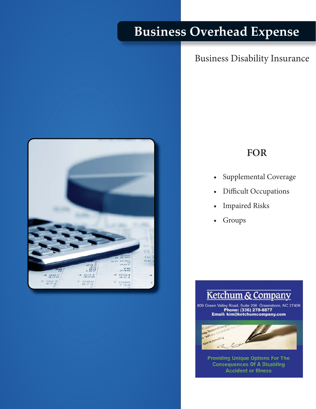# **Business Overhead Expense**

## Business Disability Insurance



# **FOR**

- Supplemental Coverage
- Difficult Occupations
- Impaired Risks
- **Groups**



806 Green Valley Road, Suite 206 Greensboro, NC 27408<br>Phone: (336) 279-8877<br>Email: kim@ketchumcompany.com



**Consequences Of A Disabling Accident or Illness** Providing Unique Options For The

Telephone 800.345.8816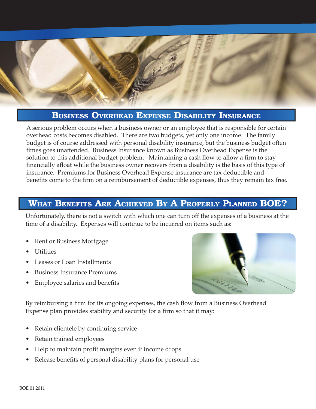

#### **BUSINESS OVERHEAD EXPENSE DISABILITY INSURANCE**

A serious problem occurs when a business owner or an employee that is responsible for certain overhead costs becomes disabled. There are two budgets, yet only one income. The family budget is of course addressed with personal disability insurance, but the business budget often times goes unattended. Business Insurance known as Business Overhead Expense is the solution to this additional budget problem. Maintaining a cash flow to allow a firm to stay financially afloat while the business owner recovers from a disability is the basis of this type of insurance. Premiums for Business Overhead Expense insurance are tax deductible and benefits come to the firm on a reimbursement of deductible expenses, thus they remain tax free.

### **WHAT BENEFITS ARE ACHIEVED BY A PROPERLY PLANNED BOE?**

Unfortunately, there is not a switch with which one can turn off the expenses of a business at the time of a disability. Expenses will continue to be incurred on items such as:

- Rent or Business Mortgage
- Utilities
- Leases or Loan Installments
- Business Insurance Premiums
- Employee salaries and benefits



By reimbursing a firm for its ongoing expenses, the cash flow from a Business Overhead Expense plan provides stability and security for a firm so that it may:

- Retain clientele by continuing service
- Retain trained employees
- Help to maintain profit margins even if income drops
- Release benefits of personal disability plans for personal use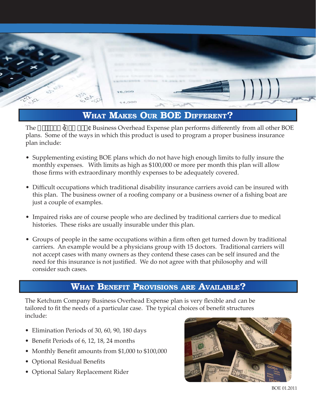

## **WHAT MAKES OUR BOE DIFFERENT?**

The  $\frac{1}{2}$   $\frac{1}{2}$   $\frac{1}{2}$   $\frac{1}{2}$   $\frac{1}{2}$   $\frac{1}{2}$   $\frac{1}{2}$   $\frac{1}{2}$   $\frac{1}{2}$   $\frac{1}{2}$   $\frac{1}{2}$   $\frac{1}{2}$   $\frac{1}{2}$   $\frac{1}{2}$   $\frac{1}{2}$   $\frac{1}{2}$   $\frac{1}{2}$   $\frac{1}{2}$   $\frac{1}{2}$   $\frac{1}{2}$   $\frac{1}{2}$   $\frac{1}{2$ plans. Some of the ways in which this product is used to program a proper business insurance plan include:

- Supplementing existing BOE plans which do not have high enough limits to fully insure the monthly expenses. With limits as high as \$100,000 or more per month this plan will allow those firms with extraordinary monthly expenses to be adequately covered.
- Difficult occupations which traditional disability insurance carriers avoid can be insured with this plan. The business owner of a roofing company or a business owner of a fishing boat are just a couple of examples.
- Impaired risks are of course people who are declined by traditional carriers due to medical histories. These risks are usually insurable under this plan.
- Groups of people in the same occupations within a firm often get turned down by traditional carriers. An example would be a physicians group with 15 doctors. Traditional carriers will not accept cases with many owners as they contend these cases can be self insured and the need for this insurance is not justified. We do not agree with that philosophy and will consider such cases.

## **WHAT BENEFIT PROVISIONS ARE AVAILABLE?**

The Ketchum Company Business Overhead Expense plan is very flexible and can be tailored to fit the needs of a particular case. The typical choices of benefit structures include:

- Elimination Periods of 30, 60, 90, 180 days
- Benefit Periods of 6, 12, 18, 24 months
- Monthly Benefit amounts from \$1,000 to \$100,000
- Optional Residual Benefits
- Optional Salary Replacement Rider